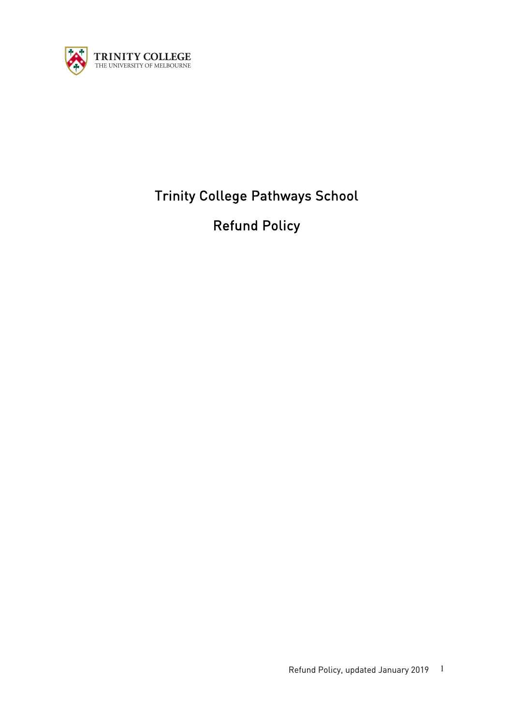

# Trinity College Pathways School

Refund Policy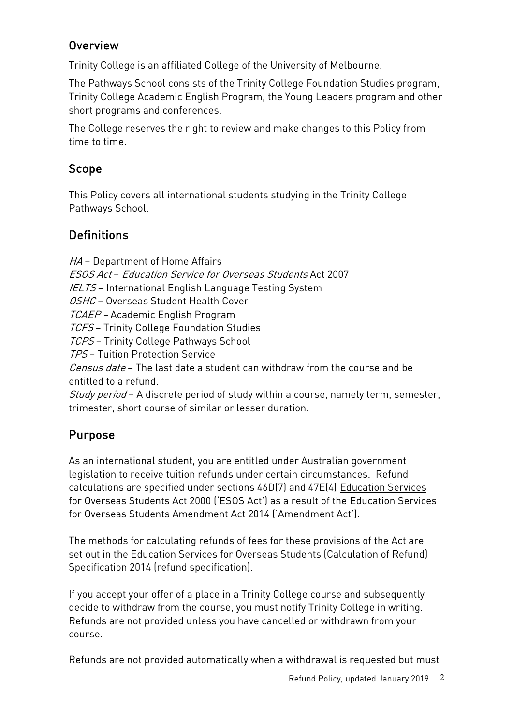### Overview

Trinity College is an affiliated College of the University of Melbourne.

The Pathways School consists of the Trinity College Foundation Studies program, Trinity College Academic English Program, the Young Leaders program and other short programs and conferences.

The College reserves the right to review and make changes to this Policy from time to time.

### Scope

This Policy covers all international students studying in the Trinity College Pathways School.

# **Definitions**

HA - Department of Home Affairs ESOS Act – Education Service for Overseas Students Act 2007 IELTS – International English Language Testing System OSHC - Overseas Student Health Cover TCAEP – Academic English Program TCFS – Trinity College Foundation Studies TCPS – Trinity College Pathways School TPS – Tuition Protection Service Census date - The last date a student can withdraw from the course and be entitled to a refund. Study period – A discrete period of study within a course, namely term, semester, trimester, short course of similar or lesser duration.

# Purpose

As an international student, you are entitled under Australian government legislation to receive tuition refunds under certain circumstances. Refund calculations are specified under sections 46D(7) and 47E(4) Education Services for Overseas Students Act 2000 ('ESOS Act') as a result of the Education Services for Overseas Students Amendment Act 2014 ('Amendment Act').

The methods for calculating refunds of fees for these provisions of the Act are set out in the Education Services for Overseas Students (Calculation of Refund) Specification 2014 (refund specification).

If you accept your offer of a place in a Trinity College course and subsequently decide to withdraw from the course, you must notify Trinity College in writing. Refunds are not provided unless you have cancelled or withdrawn from your course.

Refunds are not provided automatically when a withdrawal is requested but must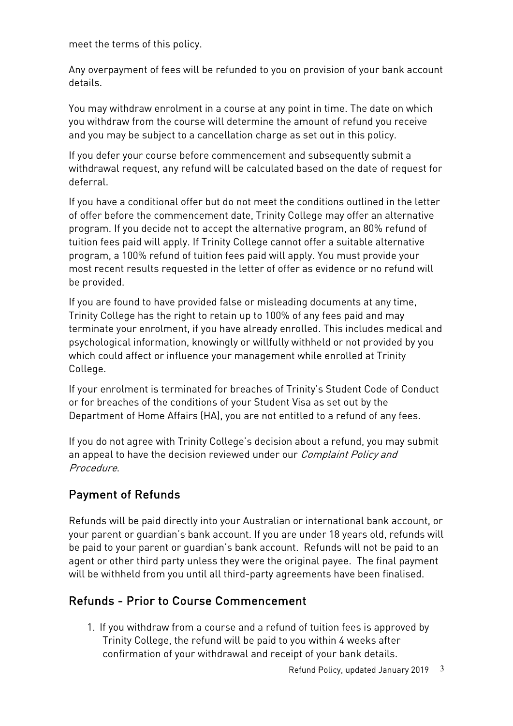meet the terms of this policy.

Any overpayment of fees will be refunded to you on provision of your bank account details.

You may withdraw enrolment in a course at any point in time. The date on which you withdraw from the course will determine the amount of refund you receive and you may be subject to a cancellation charge as set out in this policy.

If you defer your course before commencement and subsequently submit a withdrawal request, any refund will be calculated based on the date of request for deferral.

If you have a conditional offer but do not meet the conditions outlined in the letter of offer before the commencement date, Trinity College may offer an alternative program. If you decide not to accept the alternative program, an 80% refund of tuition fees paid will apply. If Trinity College cannot offer a suitable alternative program, a 100% refund of tuition fees paid will apply. You must provide your most recent results requested in the letter of offer as evidence or no refund will be provided.

If you are found to have provided false or misleading documents at any time, Trinity College has the right to retain up to 100% of any fees paid and may terminate your enrolment, if you have already enrolled. This includes medical and psychological information, knowingly or willfully withheld or not provided by you which could affect or influence your management while enrolled at Trinity College.

If your enrolment is terminated for breaches of Trinity's Student Code of Conduct or for breaches of the conditions of your Student Visa as set out by the Department of Home Affairs (HA), you are not entitled to a refund of any fees.

If you do not agree with Trinity College's decision about a refund, you may submit an appeal to have the decision reviewed under our *Complaint Policy and* Procedure.

# Payment of Refunds

Refunds will be paid directly into your Australian or international bank account, or your parent or guardian's bank account. If you are under 18 years old, refunds will be paid to your parent or guardian's bank account. Refunds will not be paid to an agent or other third party unless they were the original payee. The final payment will be withheld from you until all third-party agreements have been finalised.

# Refunds - Prior to Course Commencement

1. If you withdraw from a course and a refund of tuition fees is approved by Trinity College, the refund will be paid to you within 4 weeks after confirmation of your withdrawal and receipt of your bank details.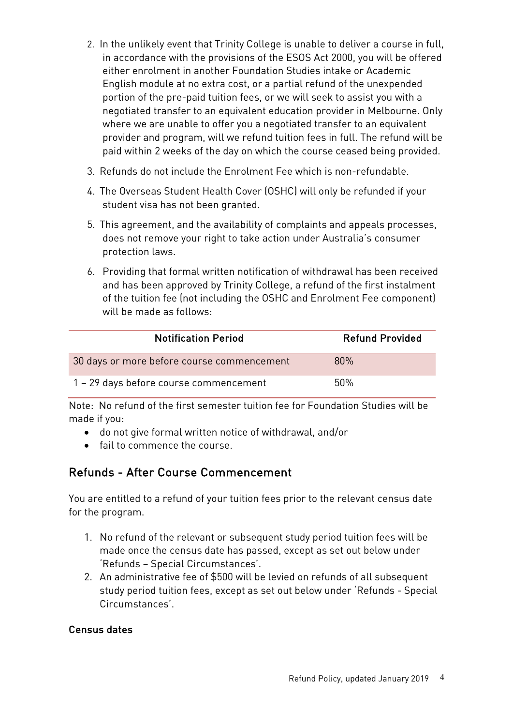- 2. In the unlikely event that Trinity College is unable to deliver a course in full, in accordance with the provisions of the ESOS Act 2000, you will be offered either enrolment in another Foundation Studies intake or Academic English module at no extra cost, or a partial refund of the unexpended portion of the pre-paid tuition fees, or we will seek to assist you with a negotiated transfer to an equivalent education provider in Melbourne. Only where we are unable to offer you a negotiated transfer to an equivalent provider and program, will we refund tuition fees in full. The refund will be paid within 2 weeks of the day on which the course ceased being provided.
- 3. Refunds do not include the Enrolment Fee which is non-refundable.
- 4. The Overseas Student Health Cover (OSHC) will only be refunded if your student visa has not been granted.
- 5. This agreement, and the availability of complaints and appeals processes, does not remove your right to take action under Australia's consumer protection laws.
- 6. Providing that formal written notification of withdrawal has been received and has been approved by Trinity College, a refund of the first instalment of the tuition fee (not including the OSHC and Enrolment Fee component) will be made as follows:

| <b>Notification Period</b>                 | <b>Refund Provided</b> |
|--------------------------------------------|------------------------|
| 30 days or more before course commencement | 80%                    |
| 1 - 29 days before course commencement     | 50%                    |

Note: No refund of the first semester tuition fee for Foundation Studies will be made if you:

- do not give formal written notice of withdrawal, and/or
- fail to commence the course

### Refunds - After Course Commencement

You are entitled to a refund of your tuition fees prior to the relevant census date for the program.

- 1. No refund of the relevant or subsequent study period tuition fees will be made once the census date has passed, except as set out below under 'Refunds – Special Circumstances'.
- 2. An administrative fee of \$500 will be levied on refunds of all subsequent study period tuition fees, except as set out below under 'Refunds - Special Circumstances'.

#### Census dates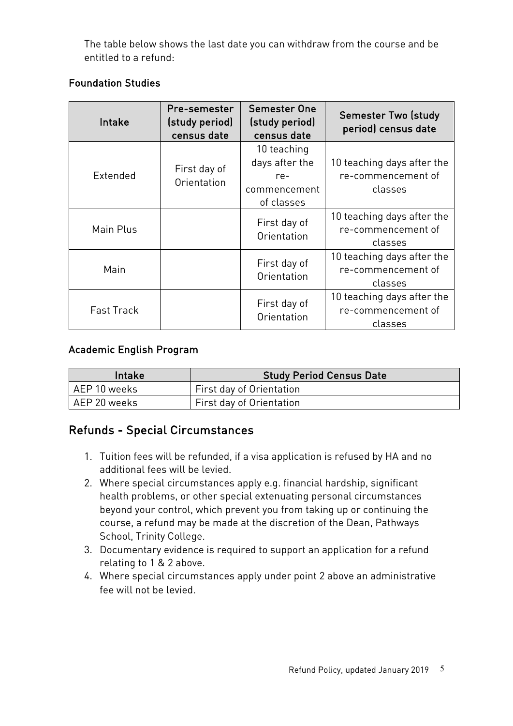The table below shows the last date you can withdraw from the course and be entitled to a refund:

#### Foundation Studies

| <b>Intake</b>     | Pre-semester<br>(study period)<br>census date | <b>Semester One</b><br>(study period)<br>census date               | <b>Semester Two (study</b><br>period) census date           |
|-------------------|-----------------------------------------------|--------------------------------------------------------------------|-------------------------------------------------------------|
| Extended          | First day of<br>Orientation                   | 10 teaching<br>days after the<br>re-<br>commencement<br>of classes | 10 teaching days after the<br>re-commencement of<br>classes |
| Main Plus         |                                               | First day of<br>Orientation                                        | 10 teaching days after the<br>re-commencement of<br>classes |
| Main              |                                               | First day of<br>Orientation                                        | 10 teaching days after the<br>re-commencement of<br>classes |
| <b>Fast Track</b> |                                               | First day of<br>Orientation                                        | 10 teaching days after the<br>re-commencement of<br>classes |

#### Academic English Program

| <b>Intake</b>  | <b>Study Period Census Date</b> |
|----------------|---------------------------------|
| l AEP 10 weeks | First day of Orientation        |
| l AEP 20 weeks | First day of Orientation        |

### Refunds - Special Circumstances

- 1. Tuition fees will be refunded, if a visa application is refused by HA and no additional fees will be levied.
- 2. Where special circumstances apply e.g. financial hardship, significant health problems, or other special extenuating personal circumstances beyond your control, which prevent you from taking up or continuing the course, a refund may be made at the discretion of the Dean, Pathways School, Trinity College.
- 3. Documentary evidence is required to support an application for a refund relating to 1 & 2 above.
- 4. Where special circumstances apply under point 2 above an administrative fee will not be levied.